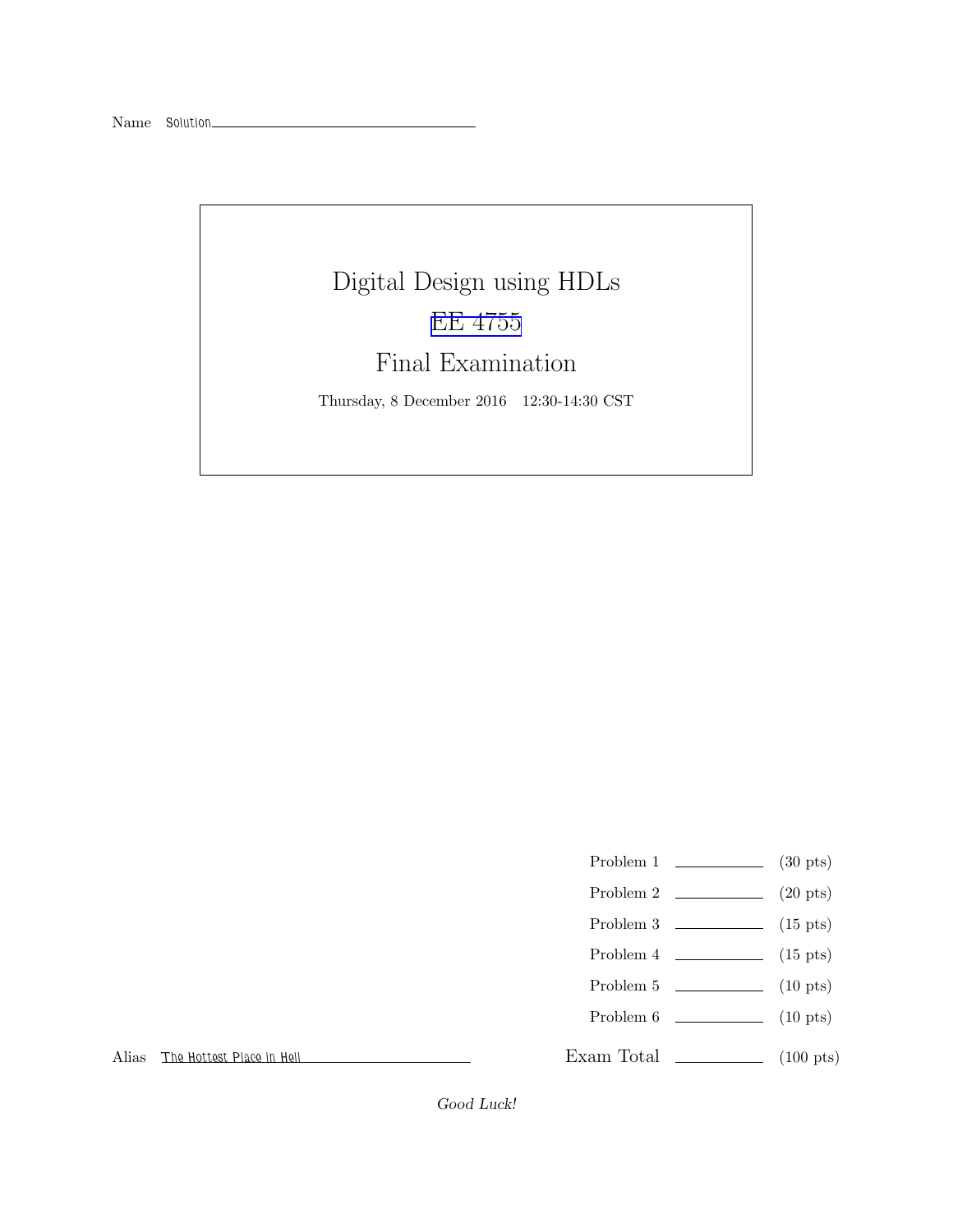# Digital Design using HDLs [EE 4755](http://www.ece.lsu.edu/koppel/v/) Final Examination

Thursday, 8 December 2016 12:30-14:30 CST

- Problem 1  $\qquad \qquad$  (30 pts)
- Problem 2 (20 pts)
- Problem  $3 \t\t(15 \text{ pts})$
- Problem 4  $\qquad \qquad$  (15 pts)
- Problem 5  $\qquad \qquad$  (10 pts)
- Problem 6 (10 pts)
- Exam Total \_\_\_\_\_\_\_\_\_\_\_\_\_\_ (100 pts)

Alias The Hottest Place in Hell

Good Luck!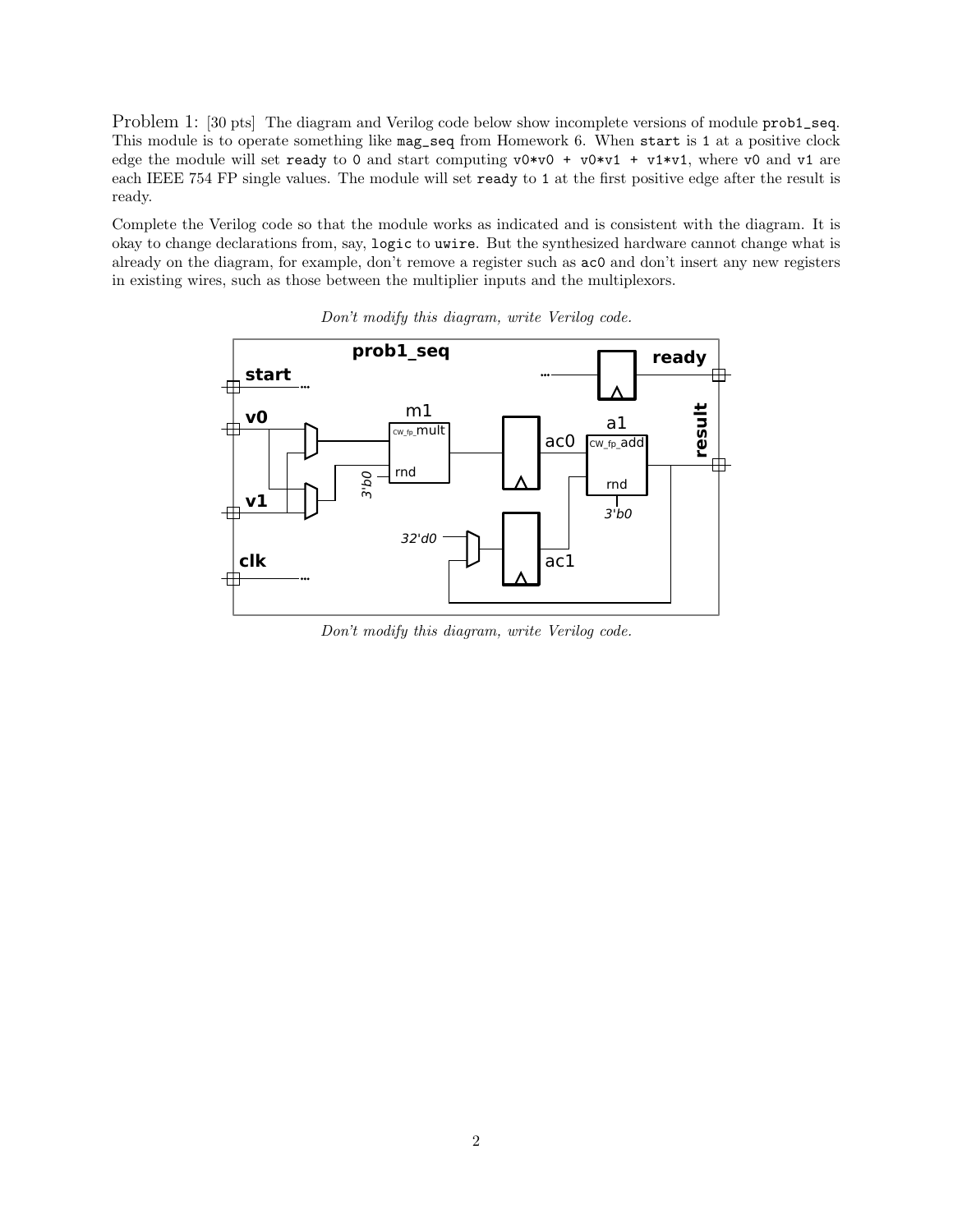Problem 1: [30 pts] The diagram and Verilog code below show incomplete versions of module prob1\_seq. This module is to operate something like mag\_seq from Homework 6. When start is 1 at a positive clock edge the module will set ready to 0 and start computing  $v0*v0 + v0*v1 + v1*v1$ , where v0 and v1 are each IEEE 754 FP single values. The module will set ready to 1 at the first positive edge after the result is ready.

Complete the Verilog code so that the module works as indicated and is consistent with the diagram. It is okay to change declarations from, say, logic to uwire. But the synthesized hardware cannot change what is already on the diagram, for example, don't remove a register such as ac0 and don't insert any new registers in existing wires, such as those between the multiplier inputs and the multiplexors.



Don't modify this diagram, write Verilog code.

Don't modify this diagram, write Verilog code.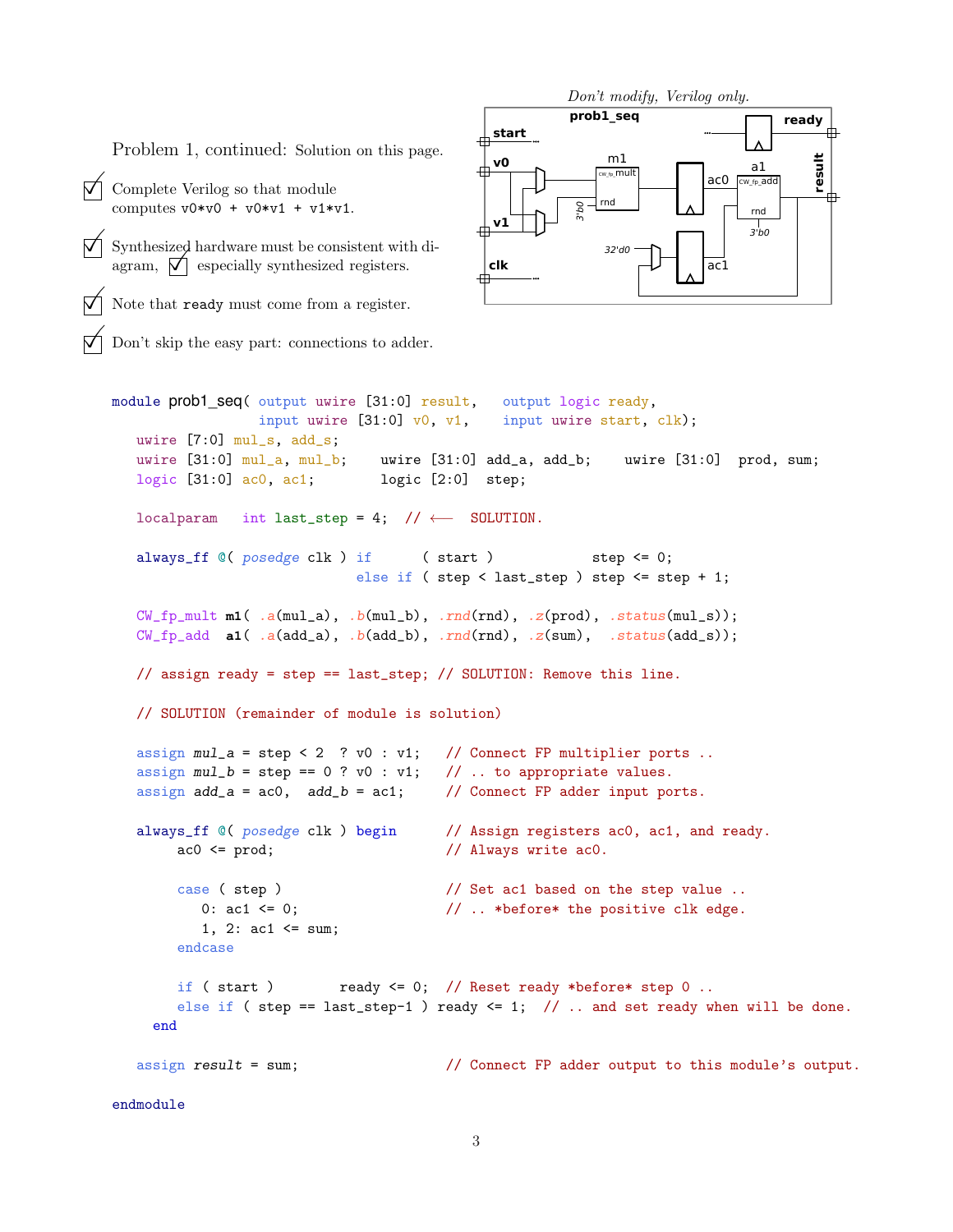Problem 1, continued: Solution on this page.

- $\triangledown$  Complete Verilog so that module computes  $v0*v0 + v0*v1 + v1*v1$ .
- Synthesized hardware must be consistent with diagram,  $\mathcal{V}$  especially synthesized registers.

Note that ready must come from a register.

Don't skip the easy part: connections to adder.



```
module prob1_seq( output uwire [31:0] result, output logic ready,
                input uwire [31:0] v0, v1, input uwire start, clk);
  uwire [7:0] mul_s, add_s;
  uwire [31:0] mul_a, mul_b; uwire [31:0] add_a, add_b; uwire [31:0] prod, sum;
  logic [31:0] ac0, ac1; logic [2:0] step;
  localparam int last_step = 4; // \leftarrow SOLUTION.
  always_ff @( posedge clk ) if (start ) step \leq 0;else if ( step < last_step ) step <= step + 1;
  CW_fp_mult m1( .a(mul_a), .b(mul_b), .rnd(rnd), .z(prod), .status(mul_s));CW\_fp\_add a1( .a(add\_a), .b(add\_b), .rnd(rnd), .z(sum), .status(add\_s));
  // assign ready = step == last_step; // SOLUTION: Remove this line.
  // SOLUTION (remainder of module is solution)
  assign mul_a = step < 2 ? v0 : v1; // Connect FP multiplier ports ..
  assign mul_b = step == 0 ? v0 : v1; // .. to appropriate values.
  assign add_a = ac0, add_b = ac1; // Connect FP adder input ports.
  always_ff ©( posedge clk ) begin // Assign registers ac0, ac1, and ready.
       ac0 \leq prod; // Always write ac0.
       case ( step ) \frac{1}{2} Set ac1 based on the step value ..
          0: ac1 \leq 0; \frac{1}{2} ... *before* the positive clk edge.
          1, 2: \text{ac1} \leq \text{sum};
       endcase
       if ( start ) ready \leq 0; // Reset ready *before* step 0 ..
       else if ( step == last_step-1 ) ready \leq 1; // .. and set ready when will be done.
    end
  assign result = sum; // Connect FP adder output to this module's output.
endmodule
```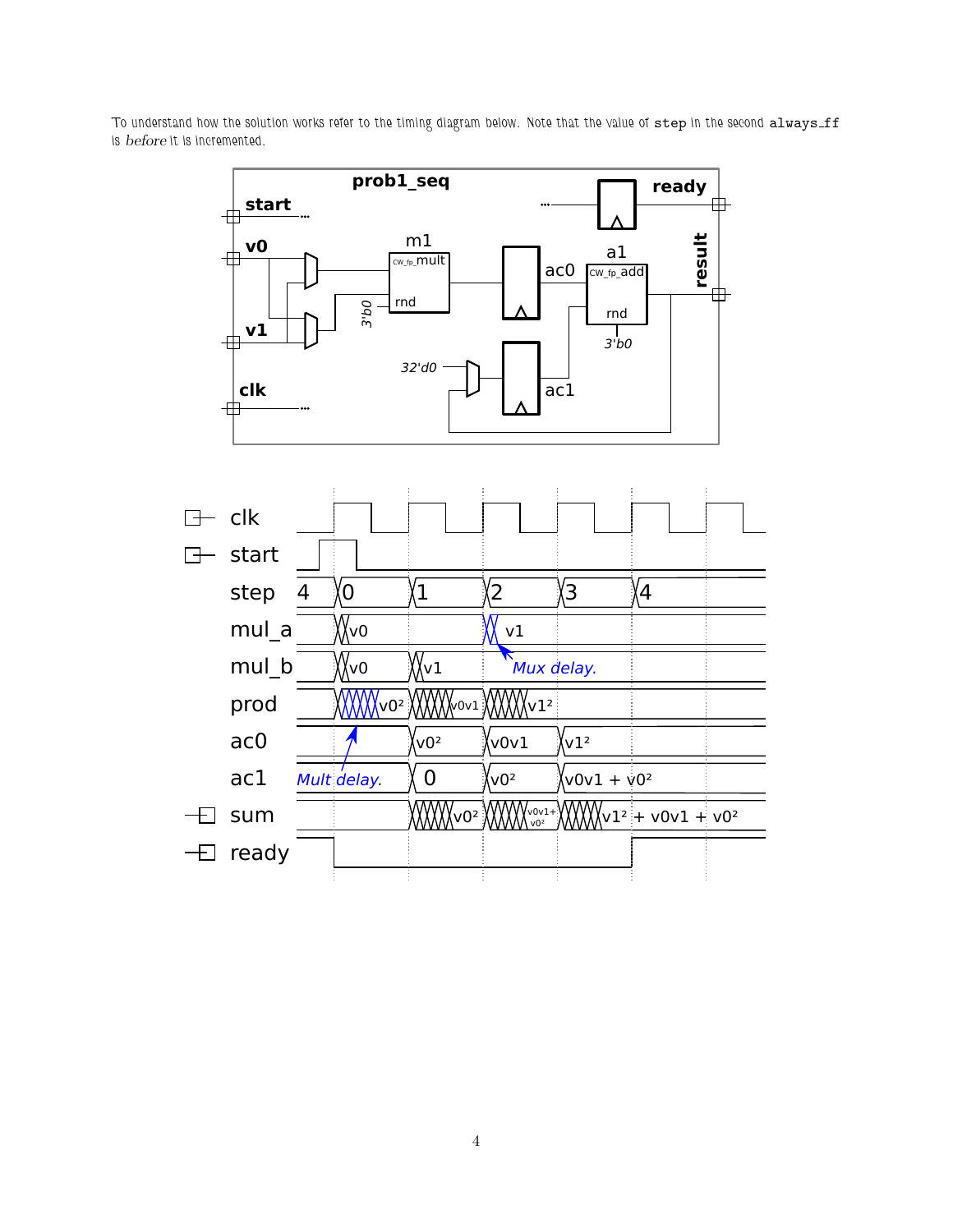To understand how the solution works refer to the timing diagram below. Note that the value of step in the second always\_ff is before it is incremented.

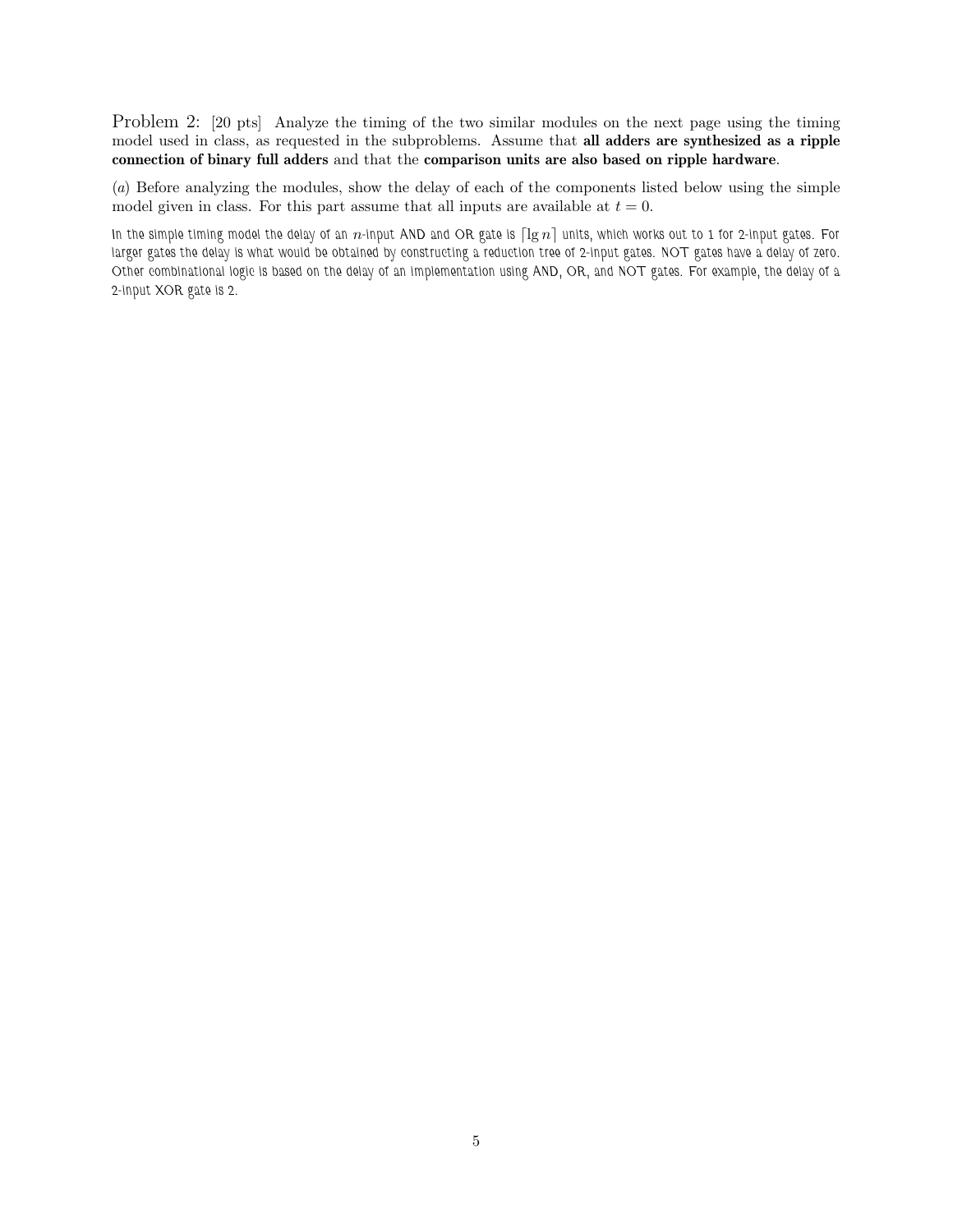Problem 2: [20 pts] Analyze the timing of the two similar modules on the next page using the timing model used in class, as requested in the subproblems. Assume that all adders are synthesized as a ripple connection of binary full adders and that the comparison units are also based on ripple hardware.

(a) Before analyzing the modules, show the delay of each of the components listed below using the simple model given in class. For this part assume that all inputs are available at  $t = 0$ .

In the simple timing model the delay of an  $n$ -input AND and OR gate is  $\lceil \lg n \rceil$  units, which works out to 1 for 2-input gates. For larger gates the delay is what would be obtained by constructing a reduction tree of 2-input gates. NOT gates have a delay of zero. Other combinational logic is based on the delay of an implementation using AND, OR, and NOT gates. For example, the delay of a 2-input XOR gate is 2.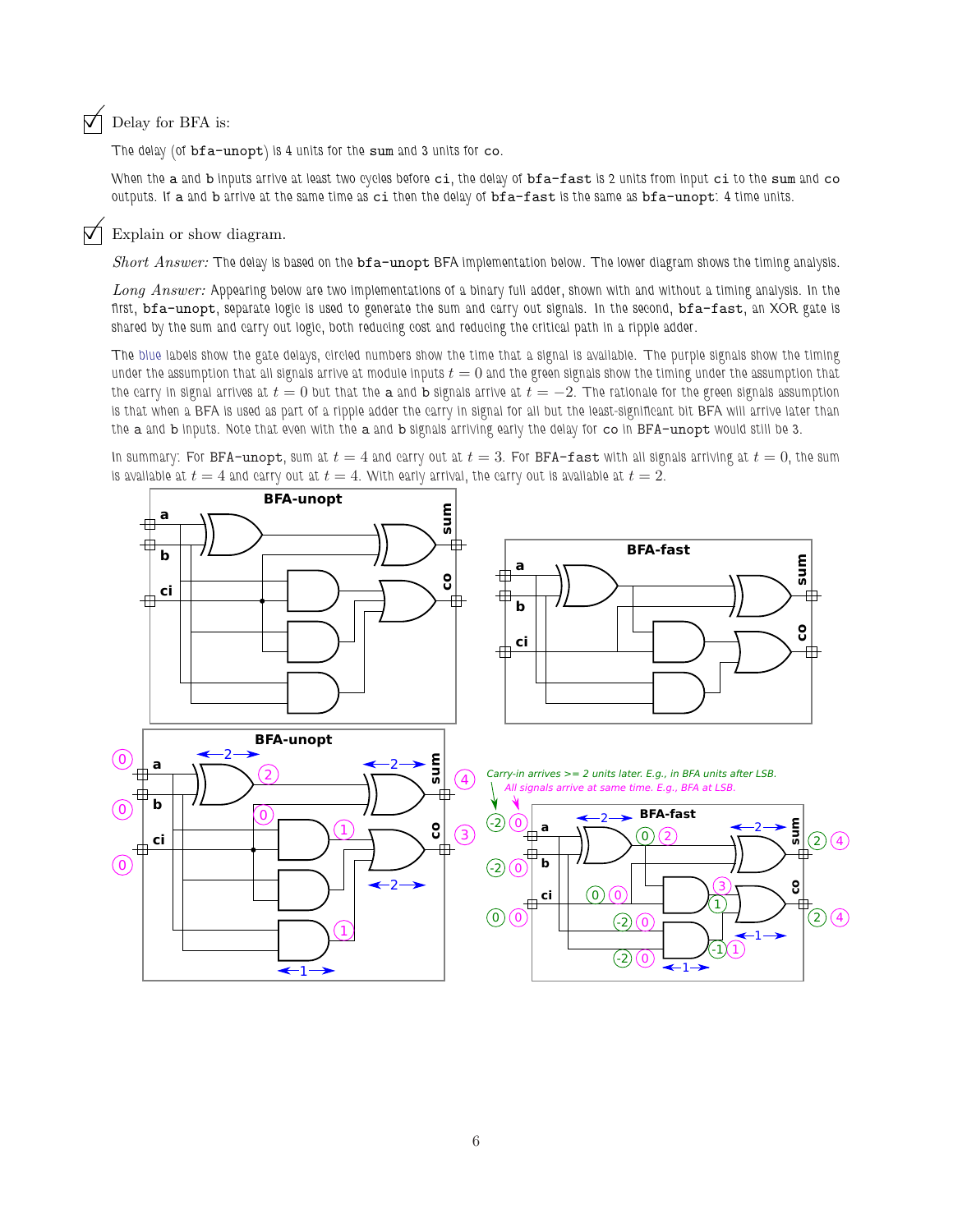## $\nabla$  Delay for BFA is:

The delay (of bfa-unopt) is 4 units for the sum and 3 units for co.

When the a and b inputs arrive at least two cycles before ci, the delay of bfa-fast is 2 units from input ci to the sum and co outputs. If a and b arrive at the same time as ci then the delay of bfa-fast is the same as bfa-unopt: 4 time units.

## $\triangledown$  Explain or show diagram.

Short Answer: The delay is based on the bfa-unopt BFA implementation below. The lower diagram shows the timing analysis.

Long Answer: Appearing below are two implementations of a binary full adder, shown with and without a timing analysis. In the first, bfa-unopt, separate logic is used to generate the sum and carry out signals. In the second, bfa-fast, an XOR gate is shared by the sum and carry out logic, both reducing cost and reducing the critical path in a ripple adder.

The blue labels show the gate delays, circled numbers show the time that a signal is available. The purple signals show the timing under the assumption that all signals arrive at module inputs  $t = 0$  and the green signals show the timing under the assumption that the carry in signal arrives at  $t = 0$  but that the a and b signals arrive at  $t = -2$ . The rationale for the green signals assumption is that when a BFA is used as part of a ripple adder the carry in signal for all but the least-significant bit BFA will arrive later than the a and b inputs. Note that even with the a and b signals arriving early the delay for co in BFA-unopt would still be 3.

In summary: For BFA-unopt, sum at  $t = 4$  and carry out at  $t = 3$ . For BFA-fast with all signals arriving at  $t = 0$ , the sum is available at  $t = 4$  and carry out at  $t = 4$ . With early arrival, the carry out is available at  $t = 2$ .

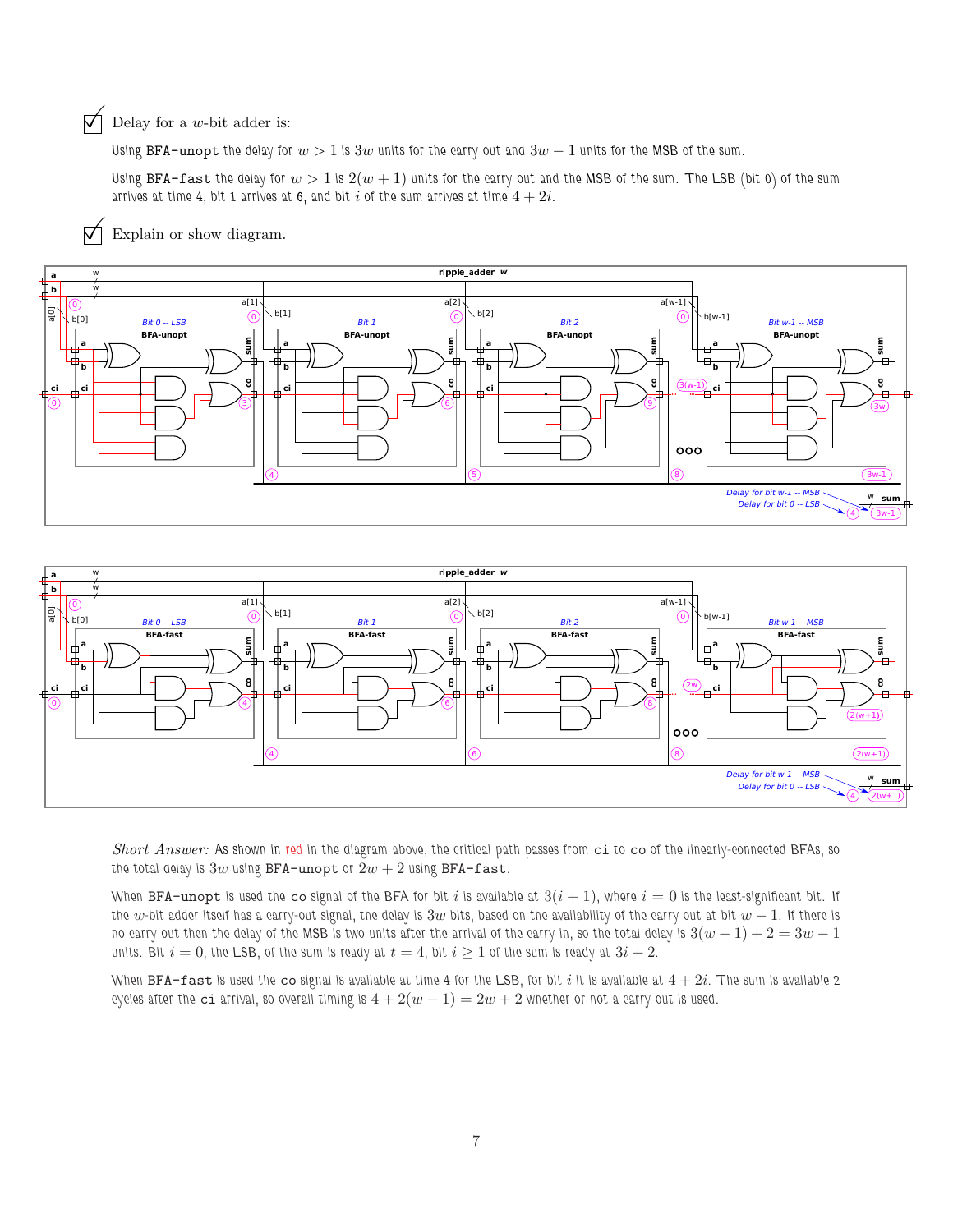## $\overrightarrow{\bigvee}$  Delay for a *w*-bit adder is:

Using BFA-unopt the delay for  $w > 1$  is 3w units for the carry out and 3 $w - 1$  units for the MSB of the sum.

Using BFA-fast the delay for  $w > 1$  is  $2(w + 1)$  units for the carry out and the MSB of the sum. The LSB (bit 0) of the sum arrives at time 4, bit 1 arrives at 6, and bit i of the sum arrives at time  $4 + 2i$ .

 $\nabla$  Explain or show diagram.





Short Answer: As shown in red in the diagram above, the critical path passes from ci to co of the linearly-connected BFAs, so the total delay is  $3w$  using BFA-unopt or  $2w + 2$  using BFA-fast.

When BFA-unopt is used the co signal of the BFA for bit i is available at  $3(i + 1)$ , where  $i = 0$  is the least-significant bit. If the  $w$ -bit adder itself has a carry-out signal, the delay is  $3w$  bits, based on the availability of the carry out at bit  $w - 1$ . If there is no carry out then the delay of the MSB is two units after the arrival of the carry in, so the total delay is  $3(w-1)+2=3w-1$ units. Bit  $i = 0$ , the LSB, of the sum is ready at  $t = 4$ , bit  $i \ge 1$  of the sum is ready at  $3i + 2$ .

When BFA-fast is used the co signal is available at time 4 for the LSB, for bit i it is available at  $4+2i$ . The sum is available 2 cycles after the ci arrival, so overall timing is  $4 + 2(w - 1) = 2w + 2$  whether or not a carry out is used.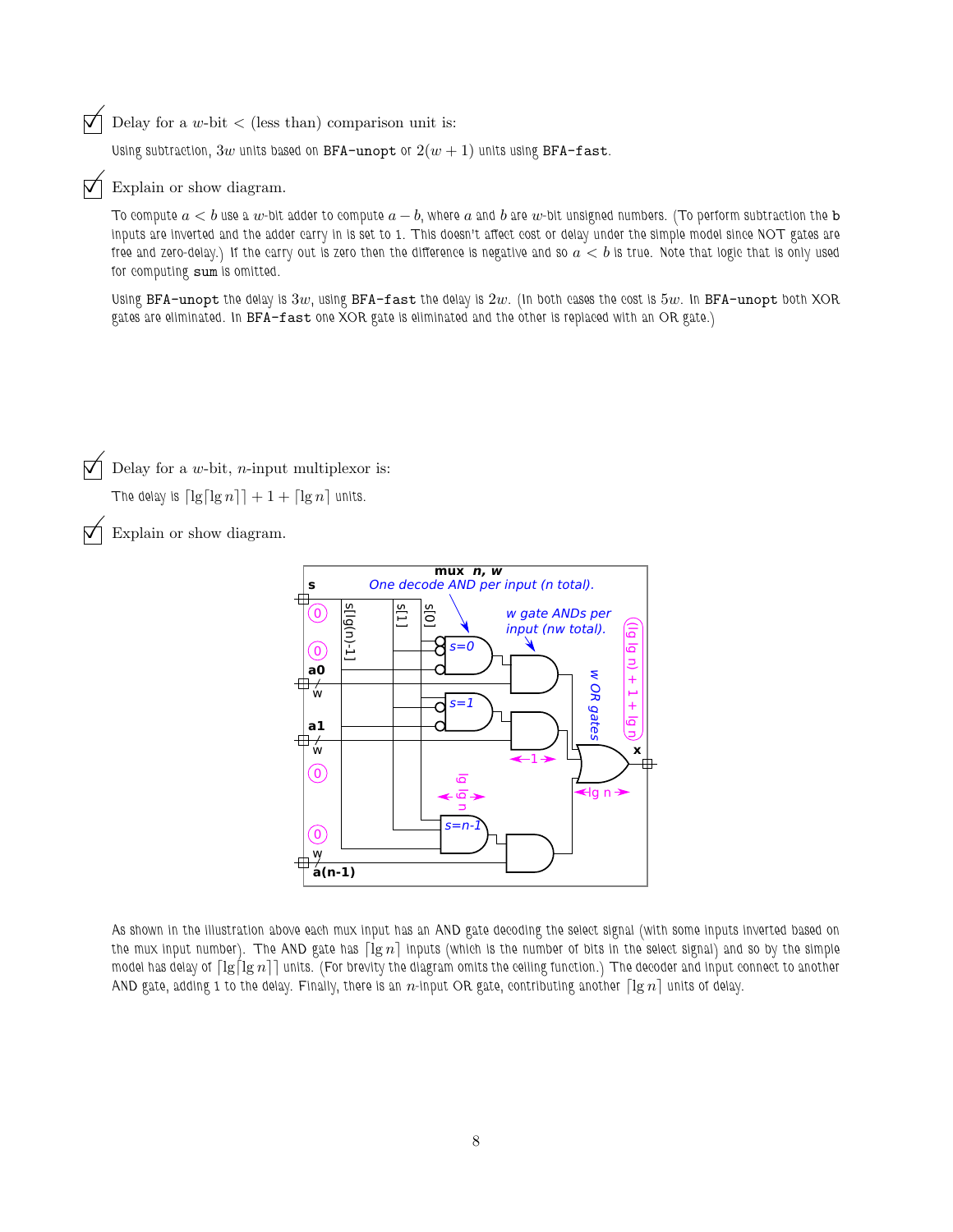$\overrightarrow{\bigvee}$  Delay for a w-bit  $\langle$  (less than) comparison unit is:

Using subtraction,  $3w$  units based on BFA-unopt or  $2(w + 1)$  units using BFA-fast.

 $\nabla$  Explain or show diagram.

To compute  $a < b$  use a w-bit adder to compute  $a - b$ , where a and b are w-bit unsigned numbers. (To perform subtraction the b inputs are inverted and the adder carry in is set to 1. This doesn't affect cost or delay under the simple model since NOT gates are free and zero-delay.) If the carry out is zero then the difference is negative and so  $a < b$  is true. Note that logic that is only used for computing sum is omitted.

Using BFA-unopt the delay is  $3w$ , using BFA-fast the delay is  $2w$ . (In both cases the cost is  $5w$ . In BFA-unopt both XOR gates are eliminated. In BFA-fast one XOR gate is eliminated and the other is replaced with an OR gate.)

Delay for a  $w$ -bit,  $n$ -input multiplexor is:

The delay is  $\lceil \lg \lceil \lg n \rceil \rceil + 1 + \lceil \lg n \rceil$  units.

Explain or show diagram.



As shown in the illustration above each mux input has an AND gate decoding the select signal (with some inputs inverted based on the mux input number). The AND gate has  $\lceil \lg n \rceil$  inputs (which is the number of bits in the select signal) and so by the simple model has delay of  $\lceil\lg\lceil\lg n\rceil\rceil$  units. (For brevity the diagram omits the ceiling function.) The decoder and input connect to another AND gate, adding 1 to the delay. Finally, there is an n-input OR gate, contributing another  $\lceil \lg n \rceil$  units of delay.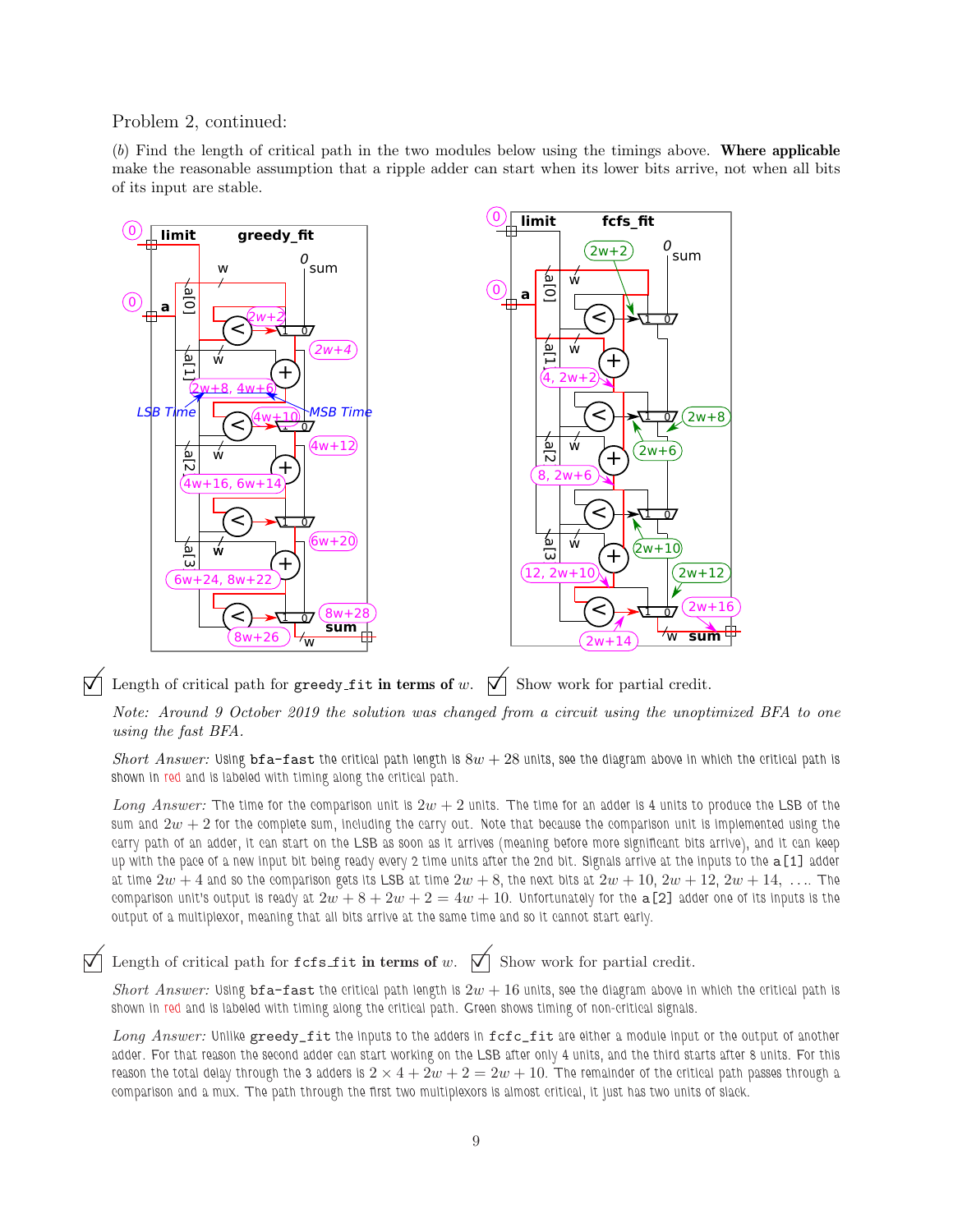Problem 2, continued:

(b) Find the length of critical path in the two modules below using the timings above. Where applicable make the reasonable assumption that a ripple adder can start when its lower bits arrive, not when all bits of its input are stable.



 $\nabla$  Length of critical path for greedy fit in terms of w.  $\nabla$  Show work for partial credit.

Note: Around 9 October 2019 the solution was changed from a circuit using the unoptimized BFA to one using the fast BFA.

Short Answer: Using bfa-fast the critical path length is  $8w + 28$  units, see the diagram above in which the critical path is shown in red and is labeled with timing along the critical path.

Long Answer: The time for the comparison unit is  $2w + 2$  units. The time for an adder is 4 units to produce the LSB of the sum and  $2w + 2$  for the complete sum, including the carry out. Note that because the comparison unit is implemented using the carry path of an adder, it can start on the LSB as soon as it arrives (meaning before more significant bits arrive), and it can keep up with the pace of a new input bit being ready every 2 time units after the 2nd bit. Signals arrive at the inputs to the a[1] adder at time  $2w + 4$  and so the comparison gets its LSB at time  $2w + 8$ , the next bits at  $2w + 10$ ,  $2w + 12$ ,  $2w + 14$ , .... The comparison unit's output is ready at  $2w + 8 + 2w + 2 = 4w + 10$ . Unfortunately for the  $\alpha$  [2] adder one of its inputs is the output of a multiplexor, meaning that all bits arrive at the same time and so it cannot start early.

Length of critical path for  $fcs_f$ it in terms of w.  $\Box$  Show work for partial credit.

Short Answer: Using bfa-fast the critical path length is  $2w + 16$  units, see the diagram above in which the critical path is shown in red and is labeled with timing along the critical path. Green shows timing of non-critical signals.

Long Answer: Unlike greedy\_fit the inputs to the adders in fcfc\_fit are either a module input or the output of another adder. For that reason the second adder can start working on the LSB after only 4 units, and the third starts after 8 units. For this reason the total delay through the 3 adders is  $2 \times 4 + 2w + 2 = 2w + 10$ . The remainder of the critical path passes through a comparison and a mux. The path through the first two multiplexors is almost critical, it just has two units of slack.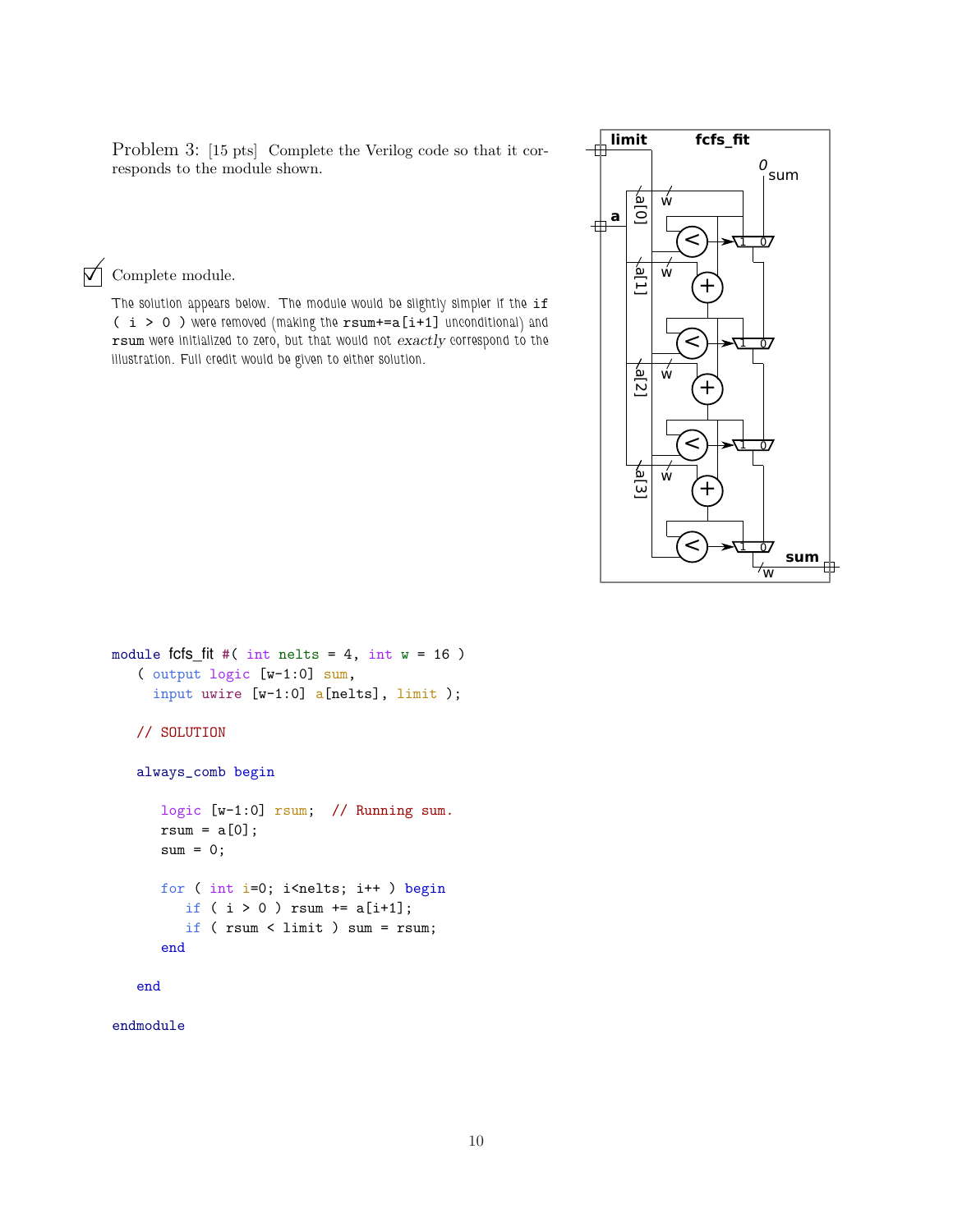Problem 3: [15 pts] Complete the Verilog code so that it corresponds to the module shown.

 $\mathcal{A}$  Complete module.

The solution appears below. The module would be slightly simpler if the if ( i > 0 ) were removed (making the rsum+=a[i+1] unconditional) and rsum were initialized to zero, but that would not exactly correspond to the illustration. Full credit would be given to either solution.



```
module fcfs_fit #( int nelts = 4, int w = 16 )
   ( output logic [w-1:0] sum,
     input uwire [w-1:0] a[nelts], limit );
   // SOLUTION
   always_comb begin
      logic [w-1:0] rsum; // Running sum.
      rsum = a[0];sum = 0;
      for ( int i=0; i<nelts; i++ ) begin
         if ( i > 0 ) rsum += a[i+1];
         if ( rsum < limit ) sum = rsum;
      end
   end
```
endmodule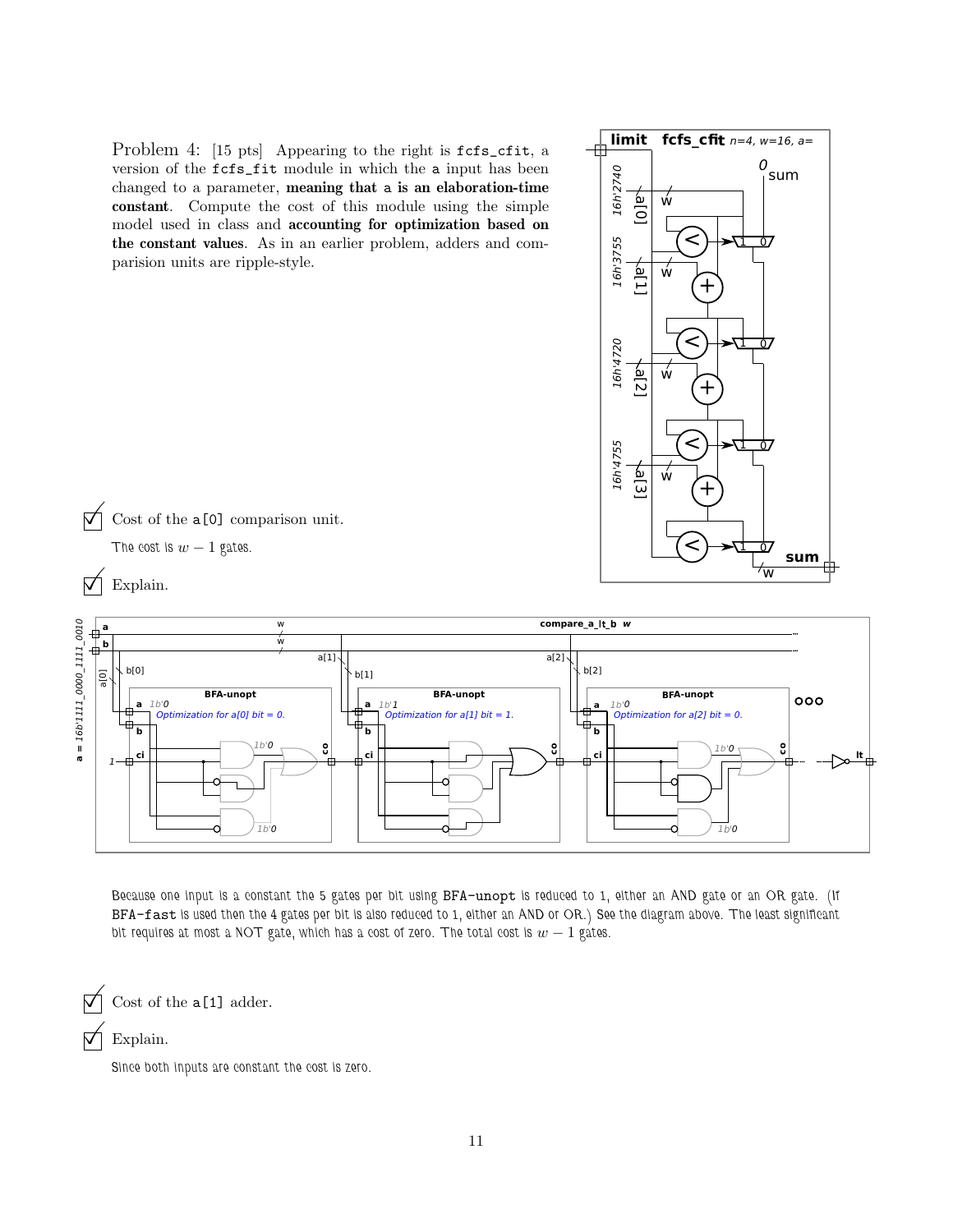Problem 4: [15 pts] Appearing to the right is  $fcfs_cfit$ , a version of the fcfs\_fit module in which the a input has been changed to a parameter, meaning that a is an elaboration-time constant. Compute the cost of this module using the simple model used in class and accounting for optimization based on the constant values. As in an earlier problem, adders and comparision units are ripple-style.







Because one input is a constant the 5 gates per bit using BFA-unopt is reduced to 1, either an AND gate or an OR gate. (If BFA-fast is used then the 4 gates per bit is also reduced to 1, either an AND or OR.) See the diagram above. The least significant bit requires at most a NOT gate, which has a cost of zero. The total cost is  $w - 1$  gates.

Cost of the  $a[1]$  adder.

Explain.

Since both inputs are constant the cost is zero.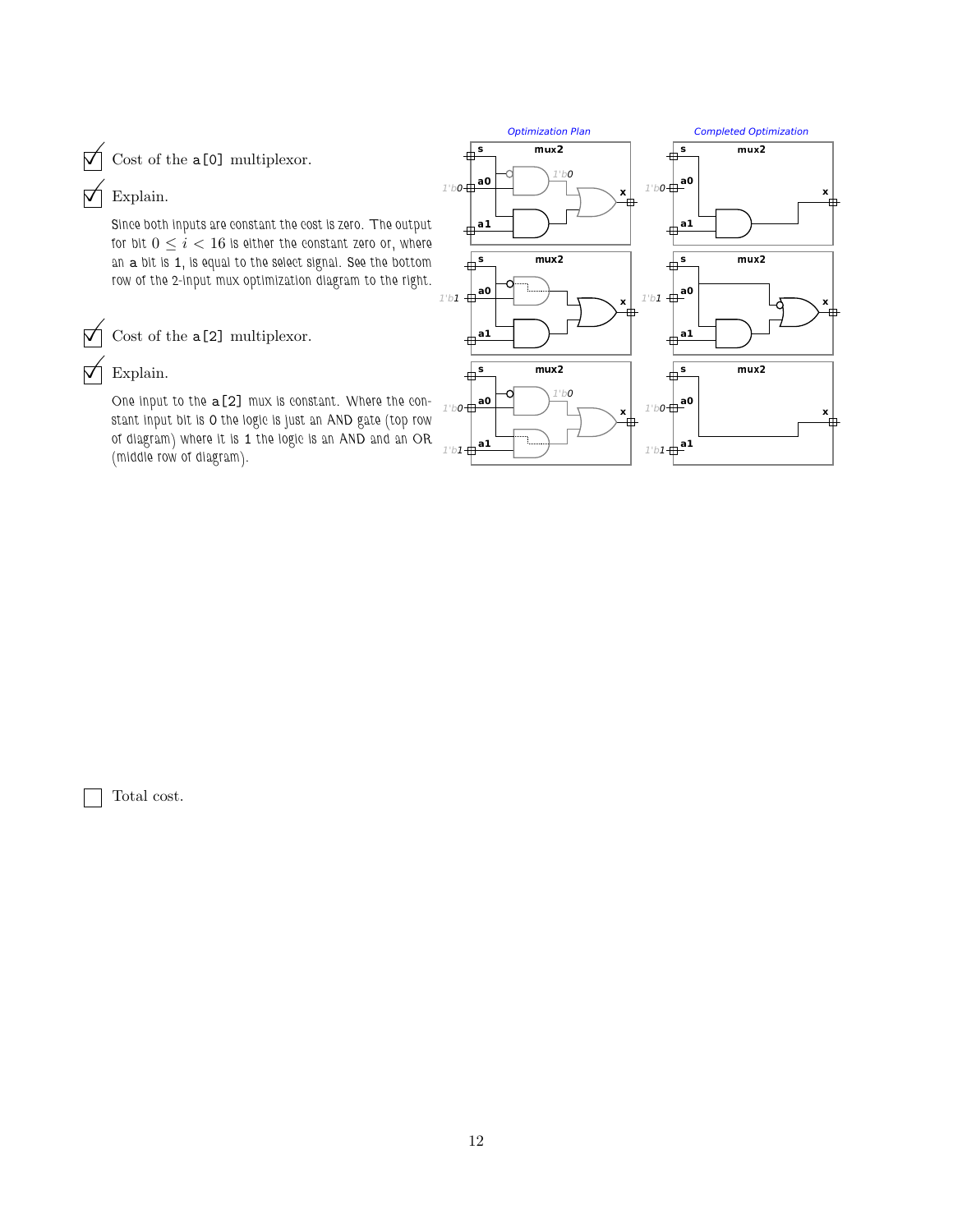$\bigvee$  Cost of the a[0] multiplexor.

# $\nabla$  Explain.

Since both inputs are constant the cost is zero. The output for bit  $0\leq i < 16$  is either the constant zero or, where an a bit is 1, is equal to the select signal. See the bottom row of the 2-input mux optimization diagram to the right.

 $\overrightarrow{V}$  Cost of the a[2] multiplexor.

## Explain.

One input to the a[2] mux is constant. Where the constant input bit is 0 the logic is just an AND gate (top row of diagram) where it is 1 the logic is an AND and an OR (middle row of diagram).



Total cost.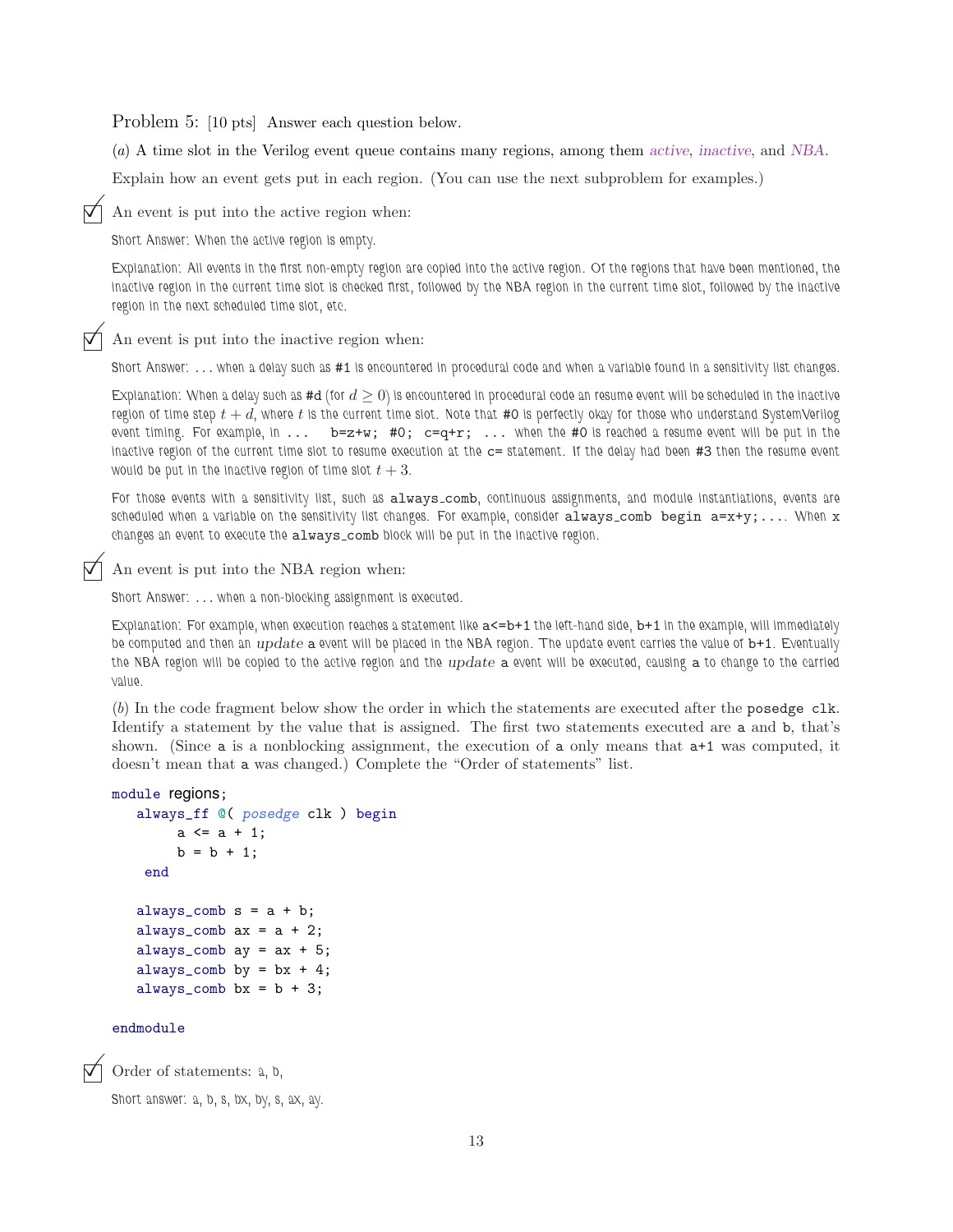Problem 5: [10 pts] Answer each question below.

(a) A time slot in the Verilog event queue contains many regions, among them active, inactive, and NBA.

Explain how an event gets put in each region. (You can use the next subproblem for examples.)

An event is put into the active region when:

Short Answer: When the active region is empty.

Explanation: All events in the first non-empty region are copied into the active region. Of the regions that have been mentioned, the inactive region in the current time slot is checked first, followed by the NBA region in the current time slot, followed by the inactive region in the next scheduled time slot, etc.

An event is put into the inactive region when:

Short Answer: . . . when a delay such as #1 is encountered in procedural code and when a variable found in a sensitivity list changes.

Explanation: When a delay such as #d (for  $d \ge 0$ ) is encountered in procedural code an resume event will be scheduled in the inactive region of time step  $t + d$ , where t is the current time slot. Note that #0 is perfectly okay for those who understand SystemVerilog event timing. For example, in  $\dots$  b=z+w; #0;  $c=q+r$ ;  $\dots$  when the #0 is reached a resume event will be put in the inactive region of the current time slot to resume execution at the c= statement. If the delay had been #3 then the resume event would be put in the inactive region of time slot  $t + 3$ .

For those events with a sensitivity list, such as always\_comb, continuous assignments, and module instantiations, events are scheduled when a variable on the sensitivity list changes. For example, consider always comb begin  $a=x+y$ ;... When x changes an event to execute the always\_comb block will be put in the inactive region.

An event is put into the NBA region when:

Short Answer: . . . when a non-blocking assignment is executed.

Explanation: For example, when execution reaches a statement like  $a < =b+1$  the left-hand side,  $b+1$  in the example, will immediately be computed and then an *update* a event will be placed in the NBA region. The update event carries the value of b+1. Eventually the NBA region will be copied to the active region and the *update* a event will be executed, causing a to change to the carried value.

(b) In the code fragment below show the order in which the statements are executed after the posedge clk. Identify a statement by the value that is assigned. The first two statements executed are a and b, that's shown. (Since a is a nonblocking assignment, the execution of a only means that a+1 was computed, it doesn't mean that a was changed.) Complete the "Order of statements" list.

### module regions;

```
always_ff @( posedge clk ) begin
     a \leq a + 1;
     b = b + 1;end
always_{comb} s = a + b;always_comb ax = a + 2;
always_comb ay = ax + 5;
always_comb by = bx + 4;
always_comb bx = b + 3;
```
#### endmodule

Order of statements: a, b,

Short answer: a, b, s, bx, by, s, ax, ay.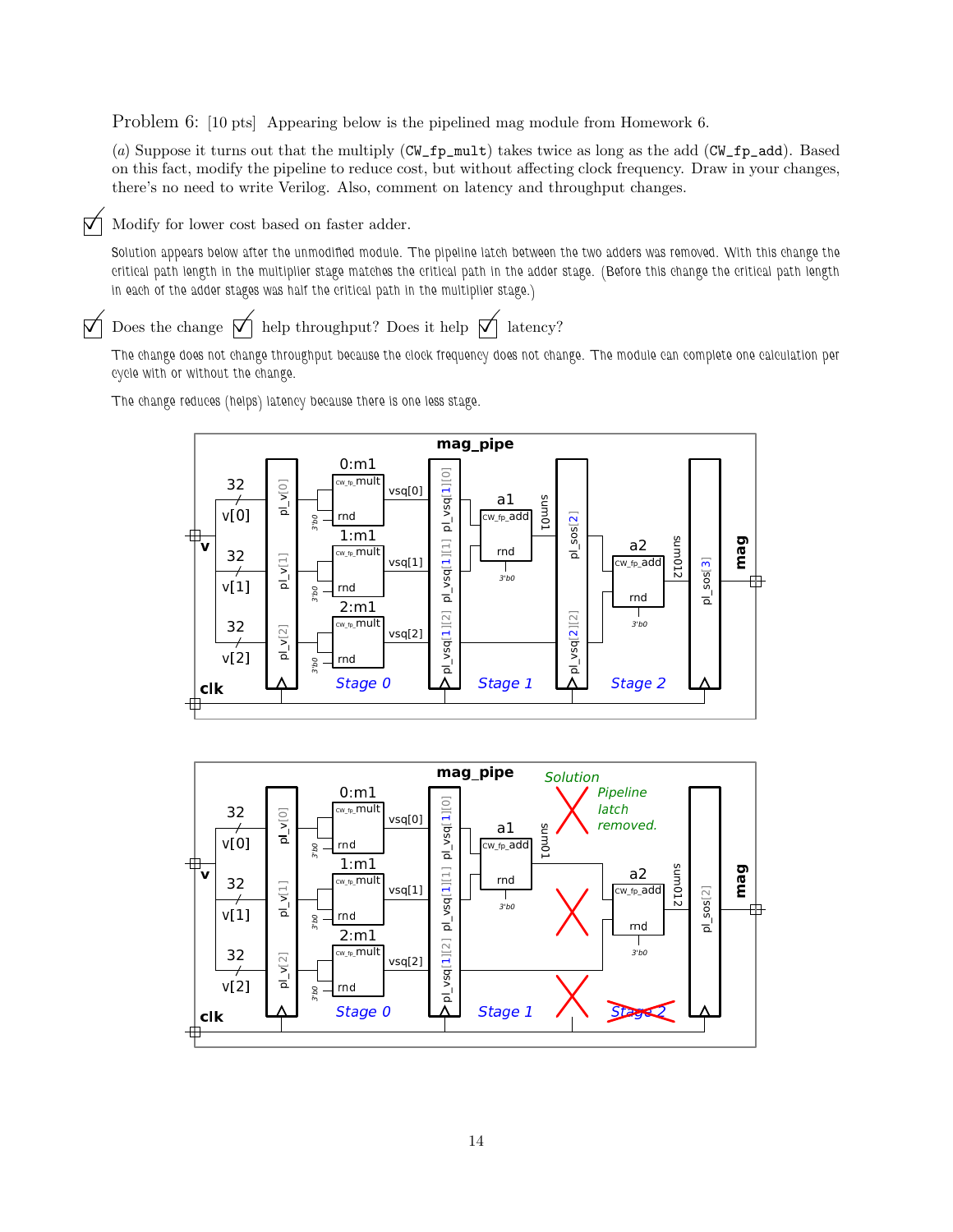Problem 6: [10 pts] Appearing below is the pipelined mag module from Homework 6.

(a) Suppose it turns out that the multiply (CW\_fp\_mult) takes twice as long as the add (CW\_fp\_add). Based on this fact, modify the pipeline to reduce cost, but without affecting clock frequency. Draw in your changes, there's no need to write Verilog. Also, comment on latency and throughput changes.

 $\triangledown$  Modify for lower cost based on faster adder.

Solution appears below after the unmodified module. The pipeline latch between the two adders was removed. With this change the critical path length in the multiplier stage matches the critical path in the adder stage. (Before this change the critical path length in each of the adder stages was half the critical path in the multiplier stage.)

 $\vec{\nabla}$  Does the change  $\vec{\nabla}$  help throughput? Does it help  $\vec{\nabla}$  latency?

The change does not change throughput because the clock frequency does not change. The module can complete one calculation per cycle with or without the change.

The change reduces (helps) latency because there is one less stage.





14